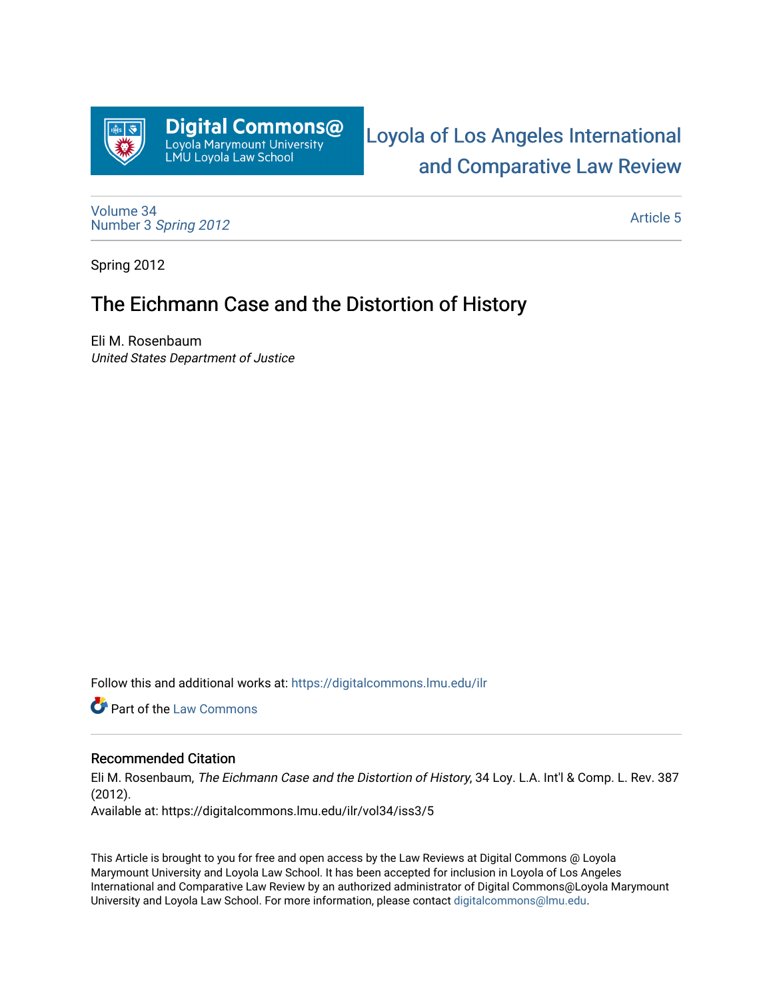

[Loyola of Los Angeles International](https://digitalcommons.lmu.edu/ilr)  [and Comparative Law Review](https://digitalcommons.lmu.edu/ilr) 

[Volume 34](https://digitalcommons.lmu.edu/ilr/vol34) Number 3 [Spring 2012](https://digitalcommons.lmu.edu/ilr/vol34/iss3) 

[Article 5](https://digitalcommons.lmu.edu/ilr/vol34/iss3/5) 

Spring 2012

## The Eichmann Case and the Distortion of History

Eli M. Rosenbaum United States Department of Justice

Follow this and additional works at: [https://digitalcommons.lmu.edu/ilr](https://digitalcommons.lmu.edu/ilr?utm_source=digitalcommons.lmu.edu%2Filr%2Fvol34%2Fiss3%2F5&utm_medium=PDF&utm_campaign=PDFCoverPages) 

Part of the [Law Commons](http://network.bepress.com/hgg/discipline/578?utm_source=digitalcommons.lmu.edu%2Filr%2Fvol34%2Fiss3%2F5&utm_medium=PDF&utm_campaign=PDFCoverPages)

## Recommended Citation

Eli M. Rosenbaum, The Eichmann Case and the Distortion of History, 34 Loy. L.A. Int'l & Comp. L. Rev. 387 (2012). Available at: https://digitalcommons.lmu.edu/ilr/vol34/iss3/5

This Article is brought to you for free and open access by the Law Reviews at Digital Commons @ Loyola Marymount University and Loyola Law School. It has been accepted for inclusion in Loyola of Los Angeles International and Comparative Law Review by an authorized administrator of Digital Commons@Loyola Marymount University and Loyola Law School. For more information, please contact [digitalcommons@lmu.edu.](mailto:digitalcommons@lmu.edu)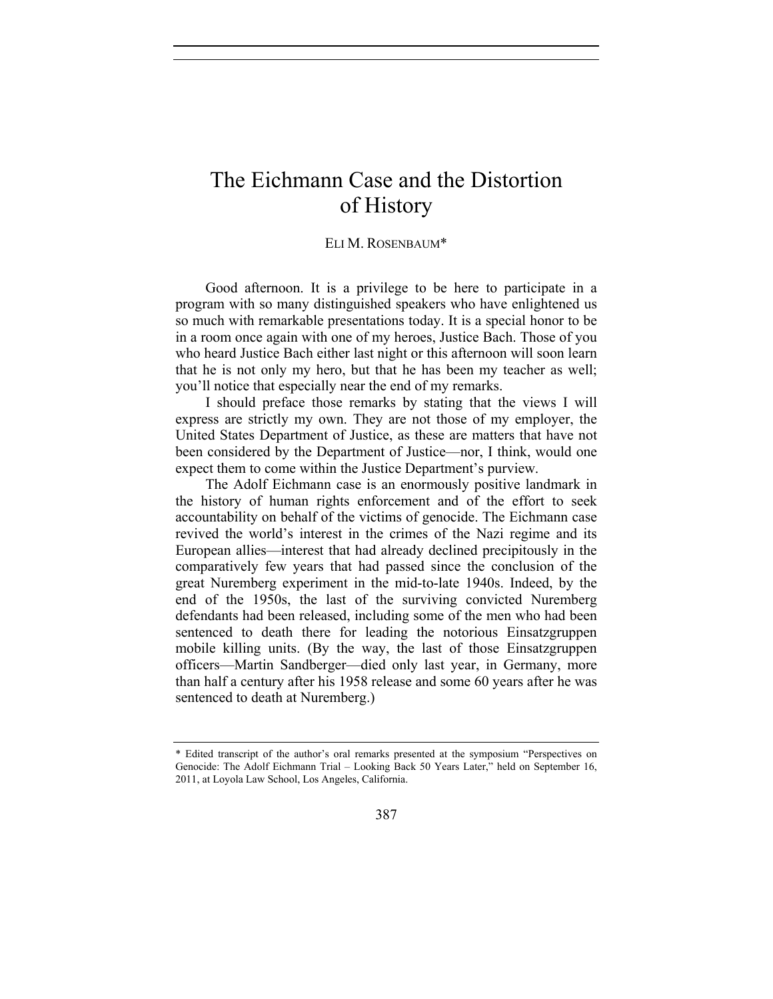## The Eichmann Case and the Distortion of History

## ELI M. ROSENBAUM\*

Good afternoon. It is a privilege to be here to participate in a program with so many distinguished speakers who have enlightened us so much with remarkable presentations today. It is a special honor to be in a room once again with one of my heroes, Justice Bach. Those of you who heard Justice Bach either last night or this afternoon will soon learn that he is not only my hero, but that he has been my teacher as well; you'll notice that especially near the end of my remarks.

I should preface those remarks by stating that the views I will express are strictly my own. They are not those of my employer, the United States Department of Justice, as these are matters that have not been considered by the Department of Justice—nor, I think, would one expect them to come within the Justice Department's purview.

The Adolf Eichmann case is an enormously positive landmark in the history of human rights enforcement and of the effort to seek accountability on behalf of the victims of genocide. The Eichmann case revived the world's interest in the crimes of the Nazi regime and its European allies—interest that had already declined precipitously in the comparatively few years that had passed since the conclusion of the great Nuremberg experiment in the mid-to-late 1940s. Indeed, by the end of the 1950s, the last of the surviving convicted Nuremberg defendants had been released, including some of the men who had been sentenced to death there for leading the notorious Einsatzgruppen mobile killing units. (By the way, the last of those Einsatzgruppen officers—Martin Sandberger—died only last year, in Germany, more than half a century after his 1958 release and some 60 years after he was sentenced to death at Nuremberg.)

<sup>\*</sup> Edited transcript of the author's oral remarks presented at the symposium "Perspectives on Genocide: The Adolf Eichmann Trial – Looking Back 50 Years Later," held on September 16, 2011, at Loyola Law School, Los Angeles, California.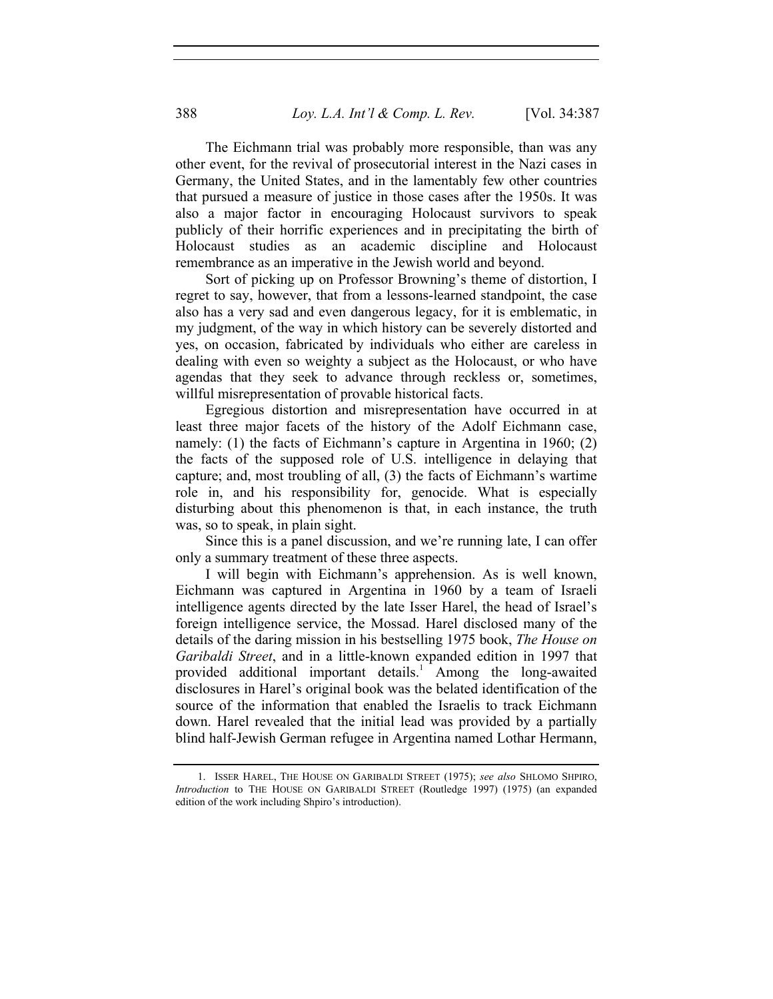The Eichmann trial was probably more responsible, than was any other event, for the revival of prosecutorial interest in the Nazi cases in Germany, the United States, and in the lamentably few other countries that pursued a measure of justice in those cases after the 1950s. It was also a major factor in encouraging Holocaust survivors to speak publicly of their horrific experiences and in precipitating the birth of Holocaust studies as an academic discipline and Holocaust remembrance as an imperative in the Jewish world and beyond.

Sort of picking up on Professor Browning's theme of distortion, I regret to say, however, that from a lessons-learned standpoint, the case also has a very sad and even dangerous legacy, for it is emblematic, in my judgment, of the way in which history can be severely distorted and yes, on occasion, fabricated by individuals who either are careless in dealing with even so weighty a subject as the Holocaust, or who have agendas that they seek to advance through reckless or, sometimes, willful misrepresentation of provable historical facts.

Egregious distortion and misrepresentation have occurred in at least three major facets of the history of the Adolf Eichmann case, namely: (1) the facts of Eichmann's capture in Argentina in 1960; (2) the facts of the supposed role of U.S. intelligence in delaying that capture; and, most troubling of all, (3) the facts of Eichmann's wartime role in, and his responsibility for, genocide. What is especially disturbing about this phenomenon is that, in each instance, the truth was, so to speak, in plain sight.

Since this is a panel discussion, and we're running late, I can offer only a summary treatment of these three aspects.

I will begin with Eichmann's apprehension. As is well known, Eichmann was captured in Argentina in 1960 by a team of Israeli intelligence agents directed by the late Isser Harel, the head of Israel's foreign intelligence service, the Mossad. Harel disclosed many of the details of the daring mission in his bestselling 1975 book, *The House on Garibaldi Street*, and in a little-known expanded edition in 1997 that provided additional important details.<sup>1</sup> Among the long-awaited disclosures in Harel's original book was the belated identification of the source of the information that enabled the Israelis to track Eichmann down. Harel revealed that the initial lead was provided by a partially blind half-Jewish German refugee in Argentina named Lothar Hermann,

 <sup>1.</sup> ISSER HAREL, THE HOUSE ON GARIBALDI STREET (1975); *see also* SHLOMO SHPIRO, *Introduction* to THE HOUSE ON GARIBALDI STREET (Routledge 1997) (1975) (an expanded edition of the work including Shpiro's introduction).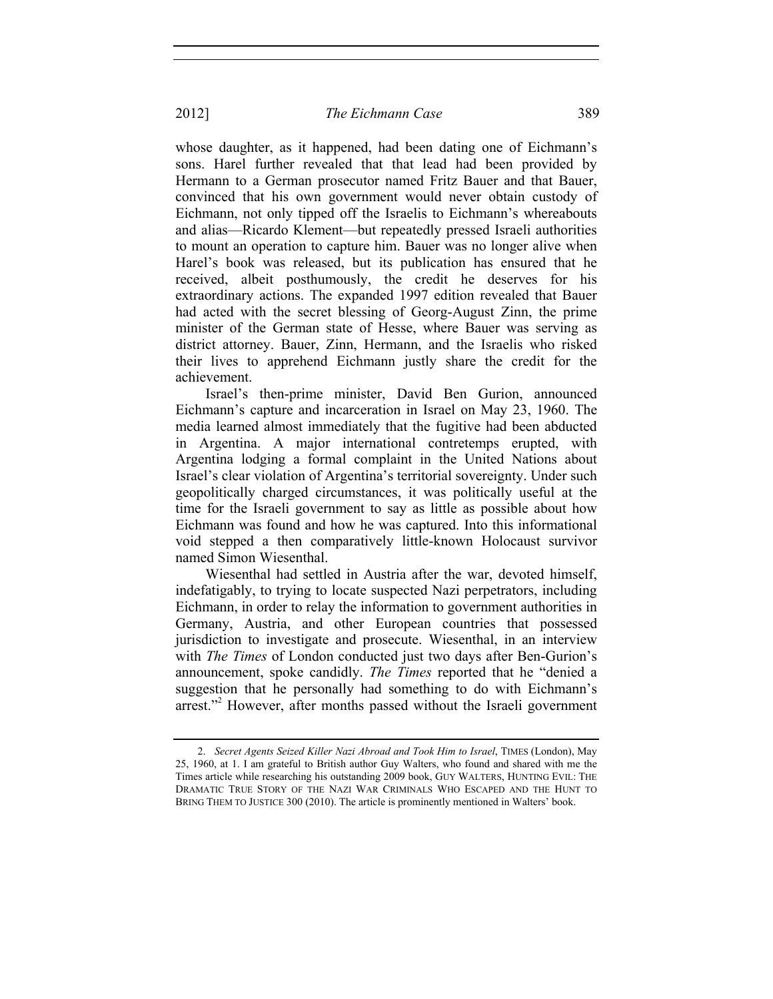whose daughter, as it happened, had been dating one of Eichmann's sons. Harel further revealed that that lead had been provided by Hermann to a German prosecutor named Fritz Bauer and that Bauer, convinced that his own government would never obtain custody of Eichmann, not only tipped off the Israelis to Eichmann's whereabouts and alias—Ricardo Klement—but repeatedly pressed Israeli authorities to mount an operation to capture him. Bauer was no longer alive when Harel's book was released, but its publication has ensured that he received, albeit posthumously, the credit he deserves for his extraordinary actions. The expanded 1997 edition revealed that Bauer had acted with the secret blessing of Georg-August Zinn, the prime minister of the German state of Hesse, where Bauer was serving as district attorney. Bauer, Zinn, Hermann, and the Israelis who risked their lives to apprehend Eichmann justly share the credit for the achievement.

Israel's then-prime minister, David Ben Gurion, announced Eichmann's capture and incarceration in Israel on May 23, 1960. The media learned almost immediately that the fugitive had been abducted in Argentina. A major international contretemps erupted, with Argentina lodging a formal complaint in the United Nations about Israel's clear violation of Argentina's territorial sovereignty. Under such geopolitically charged circumstances, it was politically useful at the time for the Israeli government to say as little as possible about how Eichmann was found and how he was captured. Into this informational void stepped a then comparatively little-known Holocaust survivor named Simon Wiesenthal.

Wiesenthal had settled in Austria after the war, devoted himself, indefatigably, to trying to locate suspected Nazi perpetrators, including Eichmann, in order to relay the information to government authorities in Germany, Austria, and other European countries that possessed jurisdiction to investigate and prosecute. Wiesenthal, in an interview with *The Times* of London conducted just two days after Ben-Gurion's announcement, spoke candidly. *The Times* reported that he "denied a suggestion that he personally had something to do with Eichmann's arrest."<sup>2</sup> However, after months passed without the Israeli government

 <sup>2.</sup> *Secret Agents Seized Killer Nazi Abroad and Took Him to Israel*, TIMES (London), May 25, 1960, at 1. I am grateful to British author Guy Walters, who found and shared with me the Times article while researching his outstanding 2009 book, GUY WALTERS, HUNTING EVIL: THE DRAMATIC TRUE STORY OF THE NAZI WAR CRIMINALS WHO ESCAPED AND THE HUNT TO BRING THEM TO JUSTICE 300 (2010). The article is prominently mentioned in Walters' book.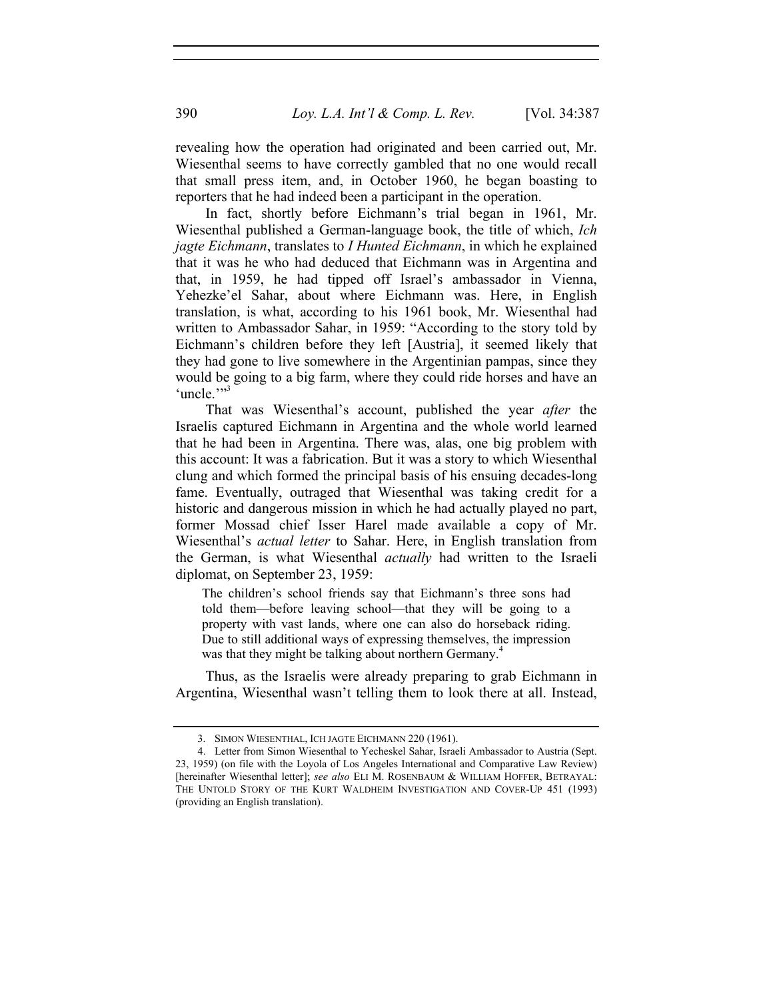revealing how the operation had originated and been carried out, Mr. Wiesenthal seems to have correctly gambled that no one would recall that small press item, and, in October 1960, he began boasting to reporters that he had indeed been a participant in the operation.

In fact, shortly before Eichmann's trial began in 1961, Mr. Wiesenthal published a German-language book, the title of which, *Ich jagte Eichmann*, translates to *I Hunted Eichmann*, in which he explained that it was he who had deduced that Eichmann was in Argentina and that, in 1959, he had tipped off Israel's ambassador in Vienna, Yehezke'el Sahar, about where Eichmann was. Here, in English translation, is what, according to his 1961 book, Mr. Wiesenthal had written to Ambassador Sahar, in 1959: "According to the story told by Eichmann's children before they left [Austria], it seemed likely that they had gone to live somewhere in the Argentinian pampas, since they would be going to a big farm, where they could ride horses and have an 'uncle""<sup>3</sup>

That was Wiesenthal's account, published the year *after* the Israelis captured Eichmann in Argentina and the whole world learned that he had been in Argentina. There was, alas, one big problem with this account: It was a fabrication. But it was a story to which Wiesenthal clung and which formed the principal basis of his ensuing decades-long fame. Eventually, outraged that Wiesenthal was taking credit for a historic and dangerous mission in which he had actually played no part, former Mossad chief Isser Harel made available a copy of Mr. Wiesenthal's *actual letter* to Sahar. Here, in English translation from the German, is what Wiesenthal *actually* had written to the Israeli diplomat, on September 23, 1959:

The children's school friends say that Eichmann's three sons had told them—before leaving school—that they will be going to a property with vast lands, where one can also do horseback riding. Due to still additional ways of expressing themselves, the impression was that they might be talking about northern Germany.<sup>4</sup>

Thus, as the Israelis were already preparing to grab Eichmann in Argentina, Wiesenthal wasn't telling them to look there at all. Instead,

 <sup>3.</sup> SIMON WIESENTHAL, ICH JAGTE EICHMANN 220 (1961).

 <sup>4.</sup> Letter from Simon Wiesenthal to Yecheskel Sahar, Israeli Ambassador to Austria (Sept. 23, 1959) (on file with the Loyola of Los Angeles International and Comparative Law Review) [hereinafter Wiesenthal letter]; *see also* ELI M. ROSENBAUM & WILLIAM HOFFER, BETRAYAL: THE UNTOLD STORY OF THE KURT WALDHEIM INVESTIGATION AND COVER-UP 451 (1993) (providing an English translation).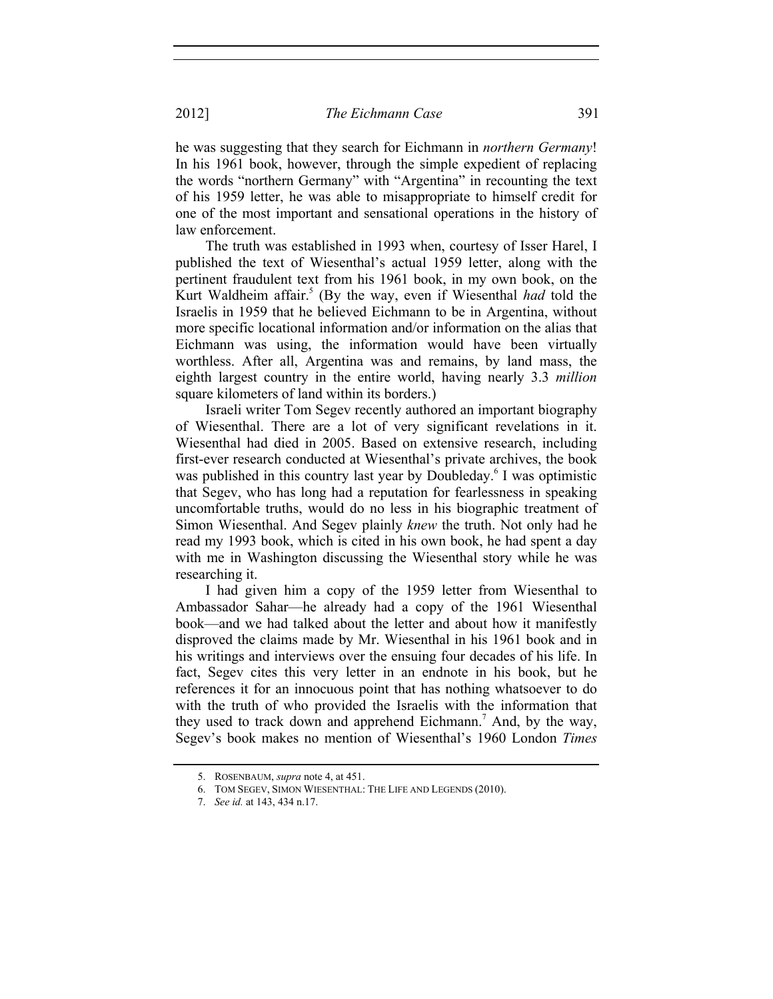he was suggesting that they search for Eichmann in *northern Germany*! In his 1961 book, however, through the simple expedient of replacing the words "northern Germany" with "Argentina" in recounting the text of his 1959 letter, he was able to misappropriate to himself credit for one of the most important and sensational operations in the history of law enforcement.

The truth was established in 1993 when, courtesy of Isser Harel, I published the text of Wiesenthal's actual 1959 letter, along with the pertinent fraudulent text from his 1961 book, in my own book, on the Kurt Waldheim affair.<sup>5</sup> (By the way, even if Wiesenthal *had* told the Israelis in 1959 that he believed Eichmann to be in Argentina, without more specific locational information and/or information on the alias that Eichmann was using, the information would have been virtually worthless. After all, Argentina was and remains, by land mass, the eighth largest country in the entire world, having nearly 3.3 *million* square kilometers of land within its borders.)

Israeli writer Tom Segev recently authored an important biography of Wiesenthal. There are a lot of very significant revelations in it. Wiesenthal had died in 2005. Based on extensive research, including first-ever research conducted at Wiesenthal's private archives, the book was published in this country last year by Doubleday.<sup>6</sup> I was optimistic that Segev, who has long had a reputation for fearlessness in speaking uncomfortable truths, would do no less in his biographic treatment of Simon Wiesenthal. And Segev plainly *knew* the truth. Not only had he read my 1993 book, which is cited in his own book, he had spent a day with me in Washington discussing the Wiesenthal story while he was researching it.

I had given him a copy of the 1959 letter from Wiesenthal to Ambassador Sahar—he already had a copy of the 1961 Wiesenthal book—and we had talked about the letter and about how it manifestly disproved the claims made by Mr. Wiesenthal in his 1961 book and in his writings and interviews over the ensuing four decades of his life. In fact, Segev cites this very letter in an endnote in his book, but he references it for an innocuous point that has nothing whatsoever to do with the truth of who provided the Israelis with the information that they used to track down and apprehend Eichmann.<sup>7</sup> And, by the way, Segev's book makes no mention of Wiesenthal's 1960 London *Times*

 <sup>5.</sup> ROSENBAUM, *supra* note 4, at 451.

 <sup>6.</sup> TOM SEGEV, SIMON WIESENTHAL: THE LIFE AND LEGENDS (2010).

 <sup>7.</sup> *See id.* at 143, 434 n.17.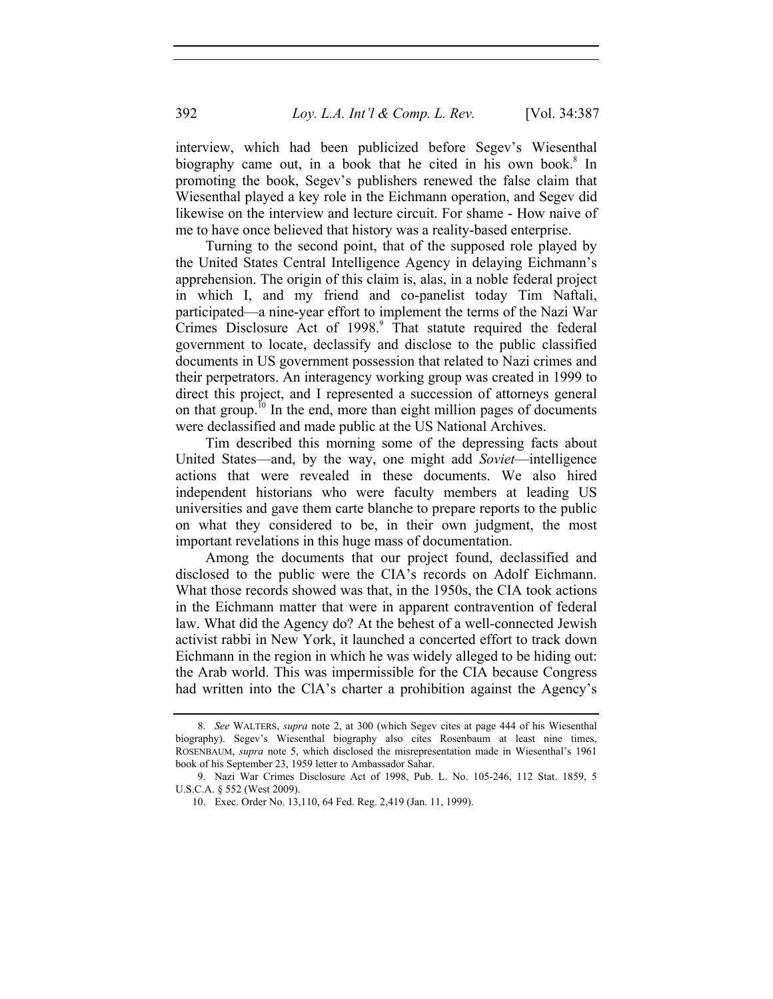interview, which had been publicized before Segev's Wiesenthal biography came out, in a book that he cited in his own book.<sup>8</sup> In promoting the book, Segev's publishers renewed the false claim that Wiesenthal played a key role in the Eichmann operation, and Segev did likewise on the interview and lecture circuit. For shame - How naive of me to have once believed that history was a reality-based enterprise.

Turning to the second point, that of the supposed role played by the United States Central Intelligence Agency in delaying Eichmann's apprehension. The origin of this claim is, alas, in a noble federal project in which I, and my friend and co-panelist today Tim Naftali, participated—a nine-year effort to implement the terms of the Nazi War Crimes Disclosure Act of 1998.<sup>9</sup> That statute required the federal government to locate, declassify and disclose to the public classified documents in US government possession that related to Nazi crimes and their perpetrators. An interagency working group was created in 1999 to direct this project, and I represented a succession of attorneys general on that group.<sup>10</sup> In the end, more than eight million pages of documents were declassified and made public at the US National Archives.

Tim described this morning some of the depressing facts about United States—and, by the way, one might add *Soviet*—intelligence actions that were revealed in these documents. We also hired independent historians who were faculty members at leading US universities and gave them carte blanche to prepare reports to the public on what they considered to be, in their own judgment, the most important revelations in this huge mass of documentation.

Among the documents that our project found, declassified and disclosed to the public were the CIA's records on Adolf Eichmann. What those records showed was that, in the 1950s, the CIA took actions in the Eichmann matter that were in apparent contravention of federal law. What did the Agency do? At the behest of a well-connected Jewish activist rabbi in New York, it launched a concerted effort to track down Eichmann in the region in which he was widely alleged to be hiding out: the Arab world. This was impermissible for the CIA because Congress had written into the ClA's charter a prohibition against the Agency's

 <sup>8.</sup> *See* WALTERS, *supra* note 2, at 300 (which Segev cites at page 444 of his Wiesenthal biography). Segev's Wiesenthal biography also cites Rosenbaum at least nine times, ROSENBAUM, *supra* note 5, which disclosed the misrepresentation made in Wiesenthal's 1961 book of his September 23, 1959 letter to Ambassador Sahar.

 <sup>9.</sup> Nazi War Crimes Disclosure Act of 1998, Pub. L. No. 105-246, 112 Stat. 1859, 5 U.S.C.A. § 552 (West 2009).

 <sup>10.</sup> Exec. Order No. 13,110, 64 Fed. Reg. 2,419 (Jan. 11, 1999).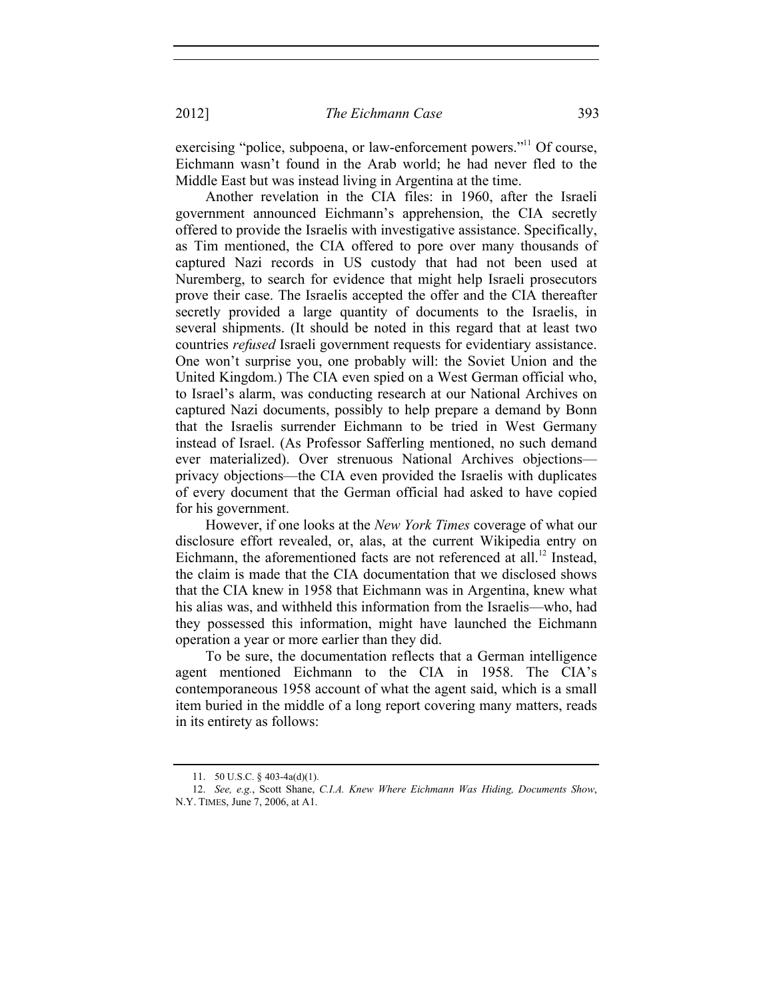exercising "police, subpoena, or law-enforcement powers."<sup>11</sup> Of course, Eichmann wasn't found in the Arab world; he had never fled to the Middle East but was instead living in Argentina at the time.

Another revelation in the CIA files: in 1960, after the Israeli government announced Eichmann's apprehension, the CIA secretly offered to provide the Israelis with investigative assistance. Specifically, as Tim mentioned, the CIA offered to pore over many thousands of captured Nazi records in US custody that had not been used at Nuremberg, to search for evidence that might help Israeli prosecutors prove their case. The Israelis accepted the offer and the CIA thereafter secretly provided a large quantity of documents to the Israelis, in several shipments. (It should be noted in this regard that at least two countries *refused* Israeli government requests for evidentiary assistance. One won't surprise you, one probably will: the Soviet Union and the United Kingdom.) The CIA even spied on a West German official who, to Israel's alarm, was conducting research at our National Archives on captured Nazi documents, possibly to help prepare a demand by Bonn that the Israelis surrender Eichmann to be tried in West Germany instead of Israel. (As Professor Safferling mentioned, no such demand ever materialized). Over strenuous National Archives objections privacy objections—the CIA even provided the Israelis with duplicates of every document that the German official had asked to have copied for his government.

However, if one looks at the *New York Times* coverage of what our disclosure effort revealed, or, alas, at the current Wikipedia entry on Eichmann, the aforementioned facts are not referenced at all.<sup>12</sup> Instead, the claim is made that the CIA documentation that we disclosed shows that the CIA knew in 1958 that Eichmann was in Argentina, knew what his alias was, and withheld this information from the Israelis—who, had they possessed this information, might have launched the Eichmann operation a year or more earlier than they did.

To be sure, the documentation reflects that a German intelligence agent mentioned Eichmann to the CIA in 1958. The CIA's contemporaneous 1958 account of what the agent said, which is a small item buried in the middle of a long report covering many matters, reads in its entirety as follows:

 <sup>11. 50</sup> U.S.C. § 403-4a(d)(1).

 <sup>12.</sup> *See, e.g.*, Scott Shane, *C.I.A. Knew Where Eichmann Was Hiding, Documents Show*, N.Y. TIMES, June 7, 2006, at A1.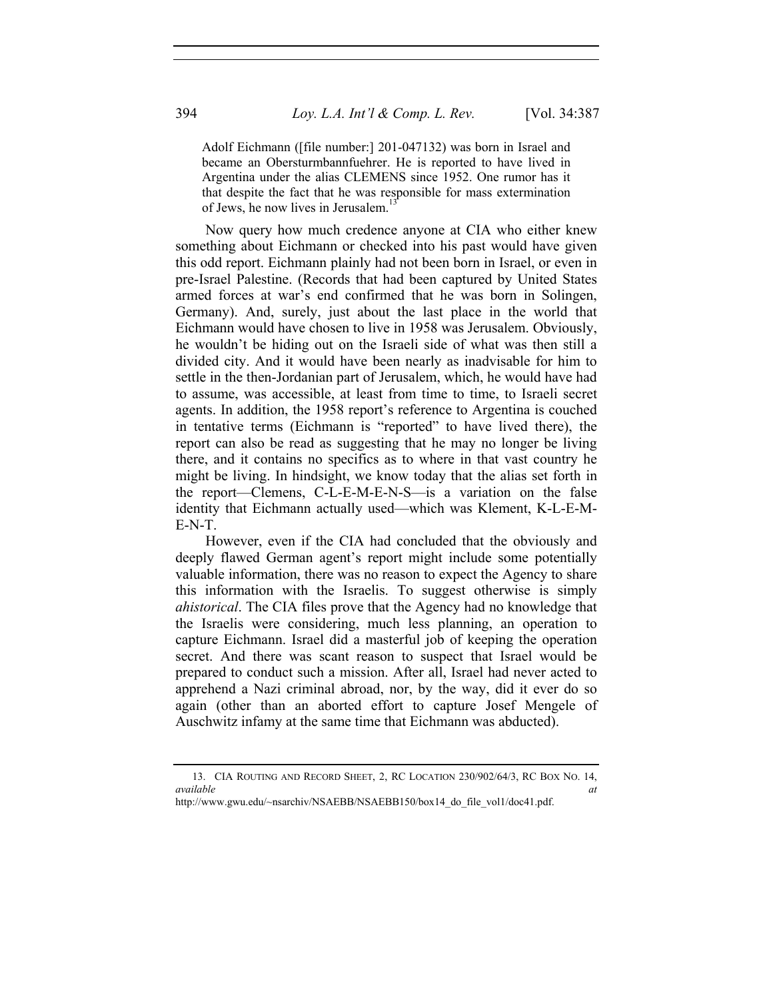Adolf Eichmann ([file number:] 201-047132) was born in Israel and became an Obersturmbannfuehrer. He is reported to have lived in Argentina under the alias CLEMENS since 1952. One rumor has it that despite the fact that he was responsible for mass extermination of Jews, he now lives in Jerusalem.<sup>1</sup>

Now query how much credence anyone at CIA who either knew something about Eichmann or checked into his past would have given this odd report. Eichmann plainly had not been born in Israel, or even in pre-Israel Palestine. (Records that had been captured by United States armed forces at war's end confirmed that he was born in Solingen, Germany). And, surely, just about the last place in the world that Eichmann would have chosen to live in 1958 was Jerusalem. Obviously, he wouldn't be hiding out on the Israeli side of what was then still a divided city. And it would have been nearly as inadvisable for him to settle in the then-Jordanian part of Jerusalem, which, he would have had to assume, was accessible, at least from time to time, to Israeli secret agents. In addition, the 1958 report's reference to Argentina is couched in tentative terms (Eichmann is "reported" to have lived there), the report can also be read as suggesting that he may no longer be living there, and it contains no specifics as to where in that vast country he might be living. In hindsight, we know today that the alias set forth in the report—Clemens, C-L-E-M-E-N-S—is a variation on the false identity that Eichmann actually used—which was Klement, K-L-E-M-E-N-T.

However, even if the CIA had concluded that the obviously and deeply flawed German agent's report might include some potentially valuable information, there was no reason to expect the Agency to share this information with the Israelis. To suggest otherwise is simply *ahistorical*. The CIA files prove that the Agency had no knowledge that the Israelis were considering, much less planning, an operation to capture Eichmann. Israel did a masterful job of keeping the operation secret. And there was scant reason to suspect that Israel would be prepared to conduct such a mission. After all, Israel had never acted to apprehend a Nazi criminal abroad, nor, by the way, did it ever do so again (other than an aborted effort to capture Josef Mengele of Auschwitz infamy at the same time that Eichmann was abducted).

 <sup>13.</sup> CIA ROUTING AND RECORD SHEET, 2, RC LOCATION 230/902/64/3, RC BOX NO. 14, *available at* 

http://www.gwu.edu/~nsarchiv/NSAEBB/NSAEBB150/box14\_do\_file\_vol1/doc41.pdf.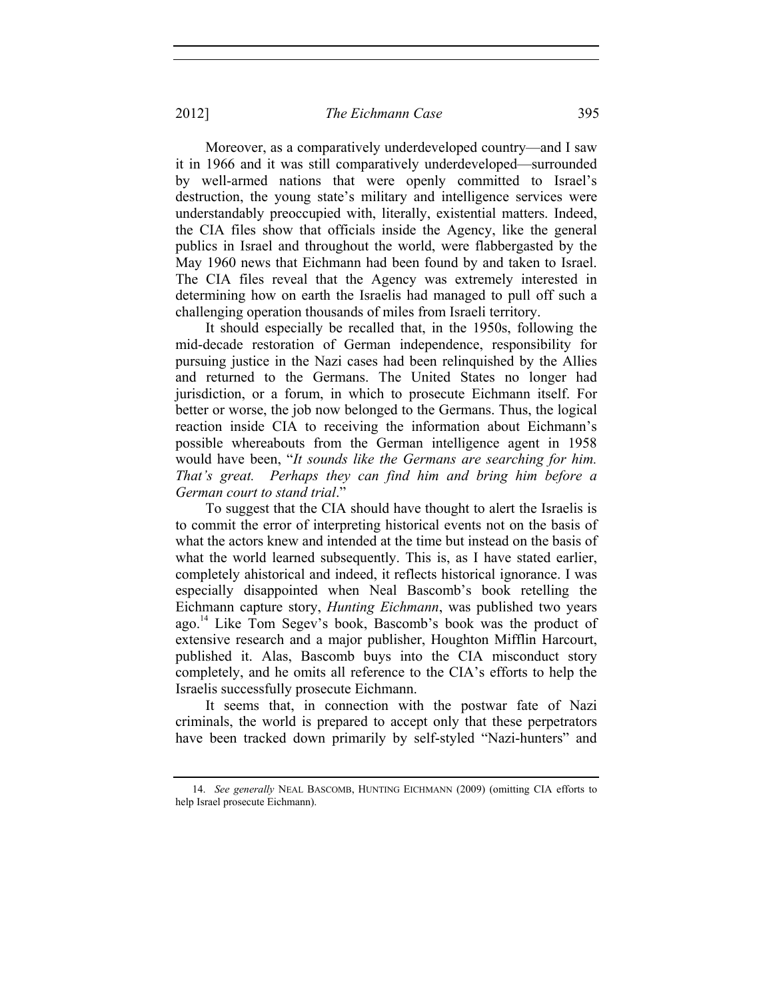Moreover, as a comparatively underdeveloped country—and I saw it in 1966 and it was still comparatively underdeveloped—surrounded by well-armed nations that were openly committed to Israel's destruction, the young state's military and intelligence services were understandably preoccupied with, literally, existential matters. Indeed, the CIA files show that officials inside the Agency, like the general publics in Israel and throughout the world, were flabbergasted by the May 1960 news that Eichmann had been found by and taken to Israel. The CIA files reveal that the Agency was extremely interested in determining how on earth the Israelis had managed to pull off such a challenging operation thousands of miles from Israeli territory.

It should especially be recalled that, in the 1950s, following the mid-decade restoration of German independence, responsibility for pursuing justice in the Nazi cases had been relinquished by the Allies and returned to the Germans. The United States no longer had jurisdiction, or a forum, in which to prosecute Eichmann itself. For better or worse, the job now belonged to the Germans. Thus, the logical reaction inside CIA to receiving the information about Eichmann's possible whereabouts from the German intelligence agent in 1958 would have been, "*It sounds like the Germans are searching for him. That's great. Perhaps they can find him and bring him before a German court to stand trial*."

To suggest that the CIA should have thought to alert the Israelis is to commit the error of interpreting historical events not on the basis of what the actors knew and intended at the time but instead on the basis of what the world learned subsequently. This is, as I have stated earlier, completely ahistorical and indeed, it reflects historical ignorance. I was especially disappointed when Neal Bascomb's book retelling the Eichmann capture story, *Hunting Eichmann*, was published two years ago.<sup>14</sup> Like Tom Segev's book, Bascomb's book was the product of extensive research and a major publisher, Houghton Mifflin Harcourt, published it. Alas, Bascomb buys into the CIA misconduct story completely, and he omits all reference to the CIA's efforts to help the Israelis successfully prosecute Eichmann.

It seems that, in connection with the postwar fate of Nazi criminals, the world is prepared to accept only that these perpetrators have been tracked down primarily by self-styled "Nazi-hunters" and

 <sup>14.</sup> *See generally* NEAL BASCOMB, HUNTING EICHMANN (2009) (omitting CIA efforts to help Israel prosecute Eichmann).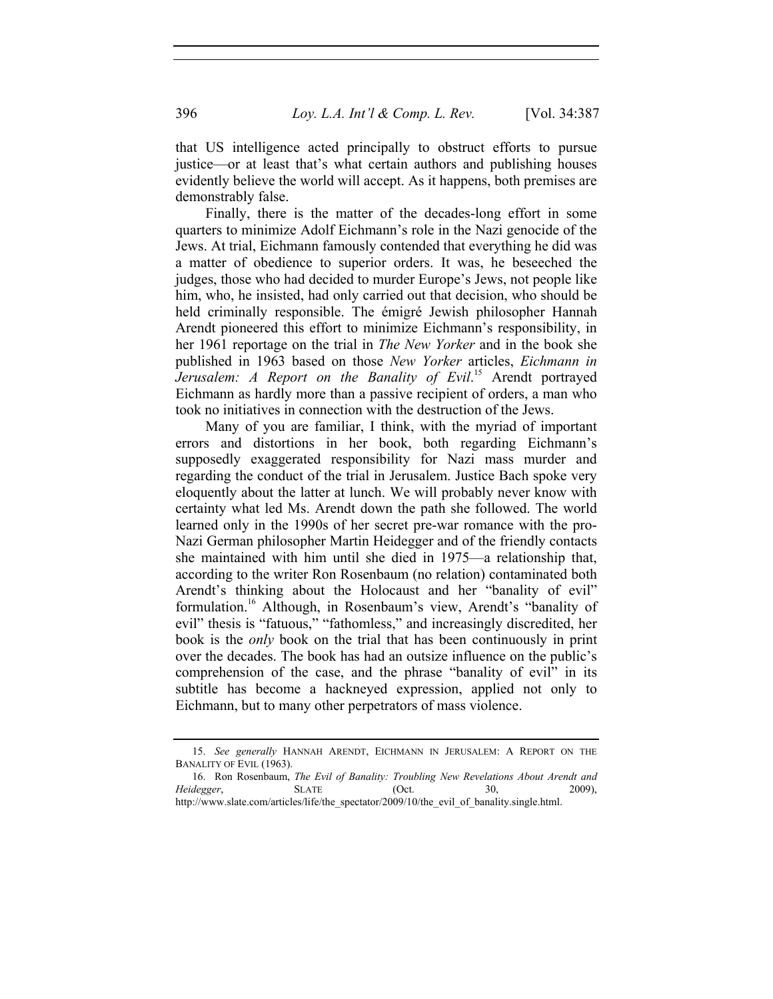that US intelligence acted principally to obstruct efforts to pursue justice—or at least that's what certain authors and publishing houses evidently believe the world will accept. As it happens, both premises are demonstrably false.

Finally, there is the matter of the decades-long effort in some quarters to minimize Adolf Eichmann's role in the Nazi genocide of the Jews. At trial, Eichmann famously contended that everything he did was a matter of obedience to superior orders. It was, he beseeched the judges, those who had decided to murder Europe's Jews, not people like him, who, he insisted, had only carried out that decision, who should be held criminally responsible. The émigré Jewish philosopher Hannah Arendt pioneered this effort to minimize Eichmann's responsibility, in her 1961 reportage on the trial in *The New Yorker* and in the book she published in 1963 based on those *New Yorker* articles, *Eichmann in Jerusalem: A Report on the Banality of Evil*. 15 Arendt portrayed Eichmann as hardly more than a passive recipient of orders, a man who took no initiatives in connection with the destruction of the Jews.

Many of you are familiar, I think, with the myriad of important errors and distortions in her book, both regarding Eichmann's supposedly exaggerated responsibility for Nazi mass murder and regarding the conduct of the trial in Jerusalem. Justice Bach spoke very eloquently about the latter at lunch. We will probably never know with certainty what led Ms. Arendt down the path she followed. The world learned only in the 1990s of her secret pre-war romance with the pro-Nazi German philosopher Martin Heidegger and of the friendly contacts she maintained with him until she died in 1975—a relationship that, according to the writer Ron Rosenbaum (no relation) contaminated both Arendt's thinking about the Holocaust and her "banality of evil" formulation.<sup>16</sup> Although, in Rosenbaum's view, Arendt's "banality of evil" thesis is "fatuous," "fathomless," and increasingly discredited, her book is the *only* book on the trial that has been continuously in print over the decades. The book has had an outsize influence on the public's comprehension of the case, and the phrase "banality of evil" in its subtitle has become a hackneyed expression, applied not only to Eichmann, but to many other perpetrators of mass violence.

 <sup>15.</sup> *See generally* HANNAH ARENDT, EICHMANN IN JERUSALEM: A REPORT ON THE BANALITY OF EVIL (1963).

 <sup>16.</sup> Ron Rosenbaum, *The Evil of Banality: Troubling New Revelations About Arendt and Heidegger*, SLATE (Oct. 30, 2009), http://www.slate.com/articles/life/the\_spectator/2009/10/the\_evil\_of\_banality.single.html.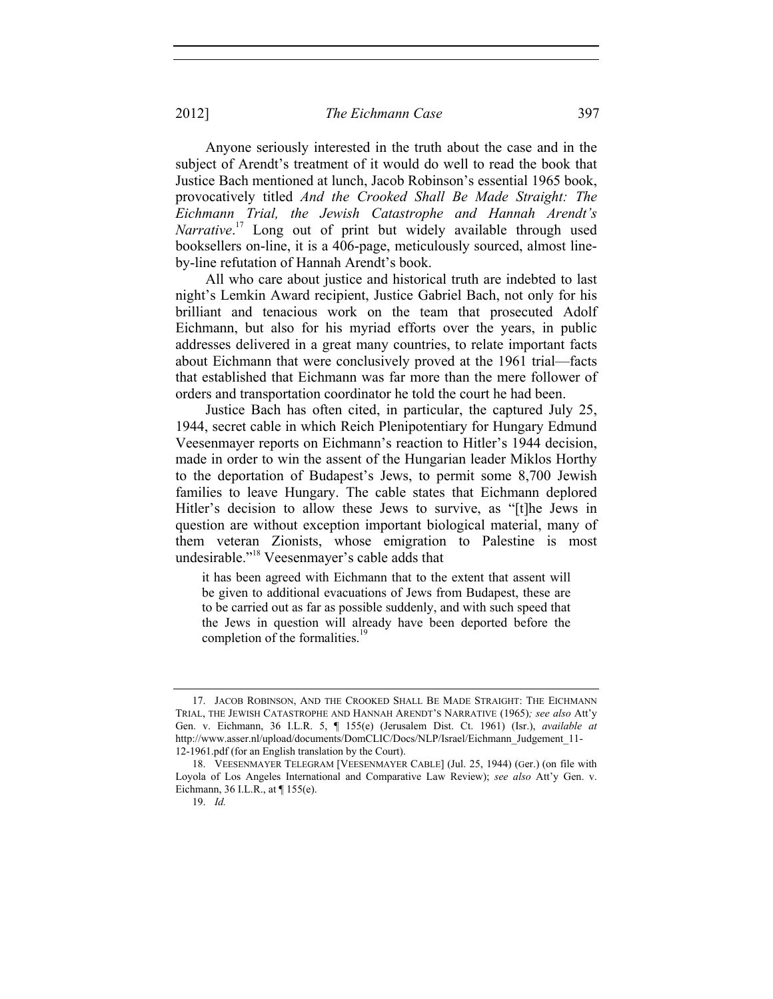Anyone seriously interested in the truth about the case and in the subject of Arendt's treatment of it would do well to read the book that Justice Bach mentioned at lunch, Jacob Robinson's essential 1965 book, provocatively titled *And the Crooked Shall Be Made Straight: The Eichmann Trial, the Jewish Catastrophe and Hannah Arendt's Narrative*. 17 Long out of print but widely available through used booksellers on-line, it is a 406-page, meticulously sourced, almost lineby-line refutation of Hannah Arendt's book.

All who care about justice and historical truth are indebted to last night's Lemkin Award recipient, Justice Gabriel Bach, not only for his brilliant and tenacious work on the team that prosecuted Adolf Eichmann, but also for his myriad efforts over the years, in public addresses delivered in a great many countries, to relate important facts about Eichmann that were conclusively proved at the 1961 trial—facts that established that Eichmann was far more than the mere follower of orders and transportation coordinator he told the court he had been.

Justice Bach has often cited, in particular, the captured July 25, 1944, secret cable in which Reich Plenipotentiary for Hungary Edmund Veesenmayer reports on Eichmann's reaction to Hitler's 1944 decision, made in order to win the assent of the Hungarian leader Miklos Horthy to the deportation of Budapest's Jews, to permit some 8,700 Jewish families to leave Hungary. The cable states that Eichmann deplored Hitler's decision to allow these Jews to survive, as "[t]he Jews in question are without exception important biological material, many of them veteran Zionists, whose emigration to Palestine is most undesirable."18 Veesenmayer's cable adds that

it has been agreed with Eichmann that to the extent that assent will be given to additional evacuations of Jews from Budapest, these are to be carried out as far as possible suddenly, and with such speed that the Jews in question will already have been deported before the completion of the formalities.<sup>19</sup>

 <sup>17.</sup> JACOB ROBINSON, AND THE CROOKED SHALL BE MADE STRAIGHT: THE EICHMANN TRIAL, THE JEWISH CATASTROPHE AND HANNAH ARENDT'S NARRATIVE (1965)*; see also* Att'y Gen. v. Eichmann, 36 I.L.R. 5, ¶ 155(e) (Jerusalem Dist. Ct. 1961) (Isr.), *available at* http://www.asser.nl/upload/documents/DomCLIC/Docs/NLP/Israel/Eichmann\_Judgement\_11- 12-1961.pdf (for an English translation by the Court).

 <sup>18.</sup> VEESENMAYER TELEGRAM [VEESENMAYER CABLE] (Jul. 25, 1944) (Ger.) (on file with Loyola of Los Angeles International and Comparative Law Review); *see also* Att'y Gen. v. Eichmann, 36 I.L.R., at ¶ 155(e).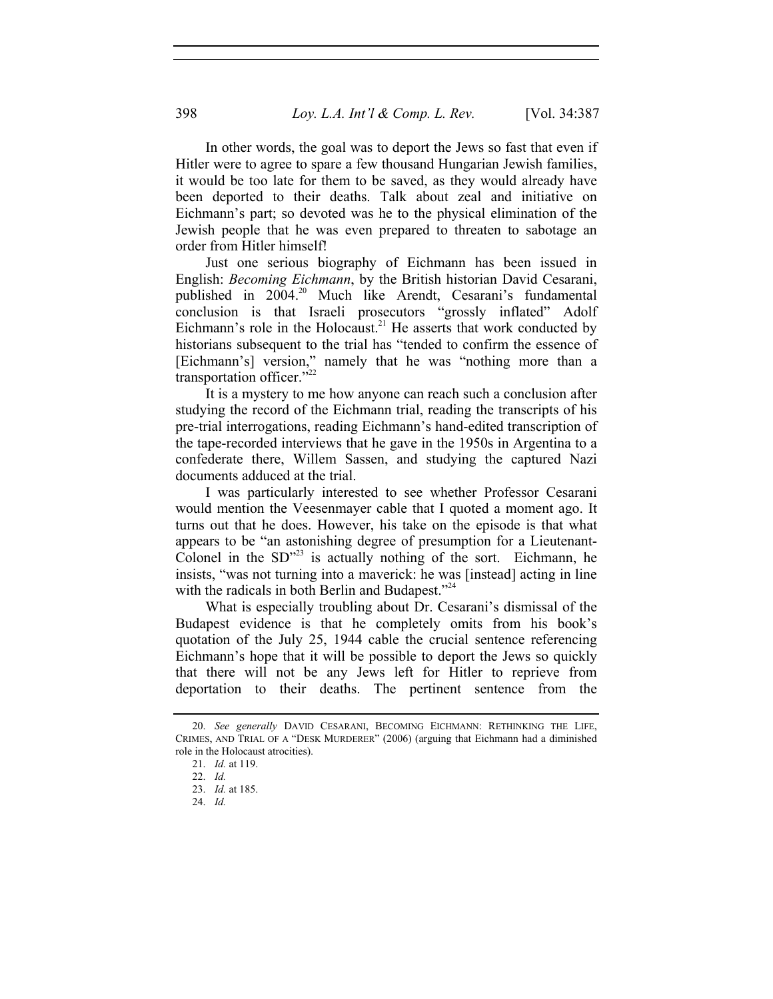In other words, the goal was to deport the Jews so fast that even if Hitler were to agree to spare a few thousand Hungarian Jewish families, it would be too late for them to be saved, as they would already have been deported to their deaths. Talk about zeal and initiative on Eichmann's part; so devoted was he to the physical elimination of the Jewish people that he was even prepared to threaten to sabotage an order from Hitler himself!

Just one serious biography of Eichmann has been issued in English: *Becoming Eichmann*, by the British historian David Cesarani, published in 2004.<sup>20</sup> Much like Arendt, Cesarani's fundamental conclusion is that Israeli prosecutors "grossly inflated" Adolf Eichmann's role in the Holocaust.<sup>21</sup> He asserts that work conducted by historians subsequent to the trial has "tended to confirm the essence of [Eichmann's] version," namely that he was "nothing more than a transportation officer."<sup>22</sup>

It is a mystery to me how anyone can reach such a conclusion after studying the record of the Eichmann trial, reading the transcripts of his pre-trial interrogations, reading Eichmann's hand-edited transcription of the tape-recorded interviews that he gave in the 1950s in Argentina to a confederate there, Willem Sassen, and studying the captured Nazi documents adduced at the trial.

I was particularly interested to see whether Professor Cesarani would mention the Veesenmayer cable that I quoted a moment ago. It turns out that he does. However, his take on the episode is that what appears to be "an astonishing degree of presumption for a Lieutenant-Colonel in the  $SD^{\prime\prime}$ <sup>23</sup> is actually nothing of the sort. Eichmann, he insists, "was not turning into a maverick: he was [instead] acting in line with the radicals in both Berlin and Budapest."<sup>24</sup>

What is especially troubling about Dr. Cesarani's dismissal of the Budapest evidence is that he completely omits from his book's quotation of the July 25, 1944 cable the crucial sentence referencing Eichmann's hope that it will be possible to deport the Jews so quickly that there will not be any Jews left for Hitler to reprieve from deportation to their deaths. The pertinent sentence from the

 <sup>20.</sup> *See generally* DAVID CESARANI, BECOMING EICHMANN: RETHINKING THE LIFE, CRIMES, AND TRIAL OF A "DESK MURDERER" (2006) (arguing that Eichmann had a diminished role in the Holocaust atrocities).

 <sup>21.</sup> *Id.* at 119.

 <sup>22.</sup> *Id.*

 <sup>23.</sup> *Id.* at 185.

 <sup>24.</sup> *Id.*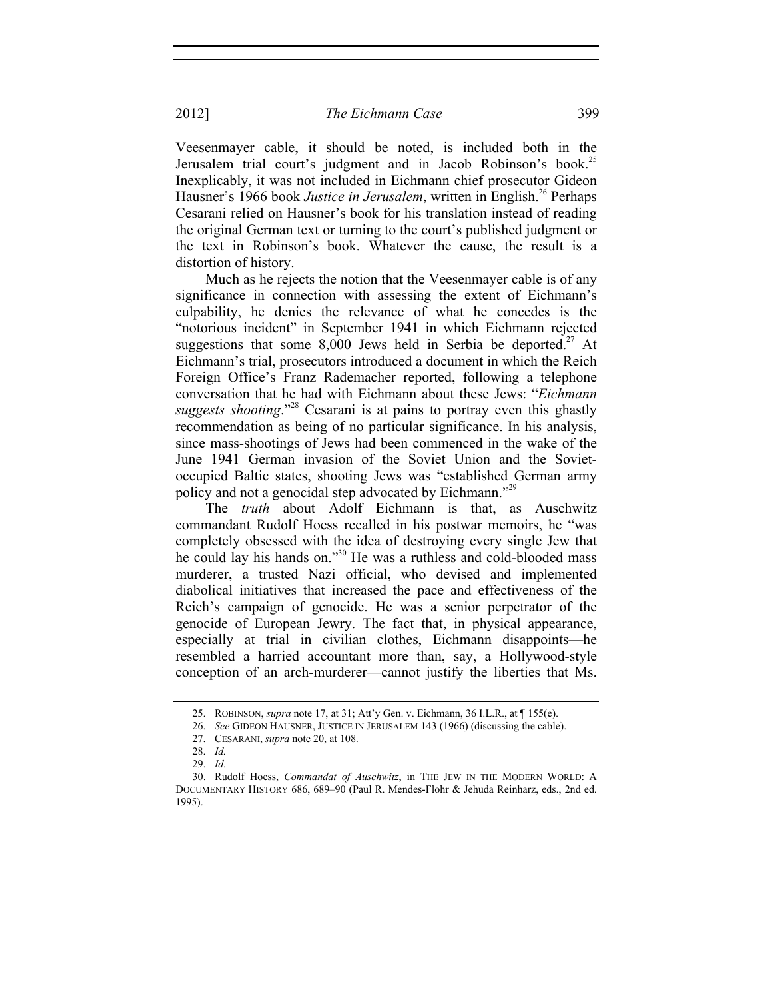Veesenmayer cable, it should be noted, is included both in the Jerusalem trial court's judgment and in Jacob Robinson's book.<sup>25</sup> Inexplicably, it was not included in Eichmann chief prosecutor Gideon Hausner's 1966 book *Justice in Jerusalem*, written in English.<sup>26</sup> Perhaps Cesarani relied on Hausner's book for his translation instead of reading the original German text or turning to the court's published judgment or the text in Robinson's book. Whatever the cause, the result is a distortion of history.

Much as he rejects the notion that the Veesenmayer cable is of any significance in connection with assessing the extent of Eichmann's culpability, he denies the relevance of what he concedes is the "notorious incident" in September 1941 in which Eichmann rejected suggestions that some  $8,000$  Jews held in Serbia be deported.<sup>27</sup> At Eichmann's trial, prosecutors introduced a document in which the Reich Foreign Office's Franz Rademacher reported, following a telephone conversation that he had with Eichmann about these Jews: "*Eichmann suggests shooting*."28 Cesarani is at pains to portray even this ghastly recommendation as being of no particular significance. In his analysis, since mass-shootings of Jews had been commenced in the wake of the June 1941 German invasion of the Soviet Union and the Sovietoccupied Baltic states, shooting Jews was "established German army policy and not a genocidal step advocated by Eichmann."29

The *truth* about Adolf Eichmann is that, as Auschwitz commandant Rudolf Hoess recalled in his postwar memoirs, he "was completely obsessed with the idea of destroying every single Jew that he could lay his hands on."<sup>30</sup> He was a ruthless and cold-blooded mass murderer, a trusted Nazi official, who devised and implemented diabolical initiatives that increased the pace and effectiveness of the Reich's campaign of genocide. He was a senior perpetrator of the genocide of European Jewry. The fact that, in physical appearance, especially at trial in civilian clothes, Eichmann disappoints—he resembled a harried accountant more than, say, a Hollywood-style conception of an arch-murderer—cannot justify the liberties that Ms.

 <sup>25.</sup> ROBINSON, *supra* note 17, at 31; Att'y Gen. v. Eichmann, 36 I.L.R., at ¶ 155(e).

 <sup>26.</sup> *See* GIDEON HAUSNER, JUSTICE IN JERUSALEM 143 (1966) (discussing the cable).

 <sup>27.</sup> CESARANI, *supra* note 20, at 108.

 <sup>28.</sup> *Id.*

 <sup>29.</sup> *Id.*

 <sup>30.</sup> Rudolf Hoess, *Commandat of Auschwitz*, in THE JEW IN THE MODERN WORLD: A DOCUMENTARY HISTORY 686, 689–90 (Paul R. Mendes-Flohr & Jehuda Reinharz, eds., 2nd ed. 1995).